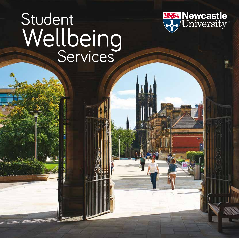# Student Wellbeing<br>Services

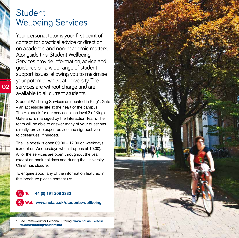# Student Wellbeing Services

**02**

Your personal tutor is your first point of contact for practical advice or direction on academic and non-academic matters.1 Alongside this, Student Wellbeing Services provide information, advice and guidance on a wide range of student support issues, allowing you to maximise your potential whilst at university. The services are without charge and are available to all current students.

Student Wellbeing Services are located in King's Gate – an accessible site at the heart of the campus. The Helpdesk for our services is on level 2 of King's Gate and is managed by the Interaction Team. The team will be able to answer many of your questions directly, provide expert advice and signpost you to colleagues, if needed.

The Helpdesk is open 09.00 – 17.00 on weekdays (except on Wednesdays when it opens at 10.00). All of the services are open throughout the year. except on bank holidays and during the University Christmas closure.

To enquire about any of the information featured in this brochure please contact us:

**Tel: +44 (0) 191 208 3333 Web: www.ncl.ac.uk/students/wellbeing**

1. See Framework for Personal Tutoring: **www.ncl.ac.uk/ltds/ student/tutoring/studentinfo**

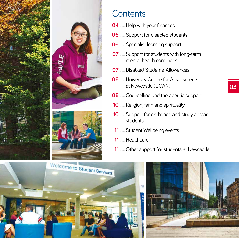





## **Contents**

- **....**Help with your finances
- **....**Support for disabled students
- **....**Specialist learning support
- **....** Support for students with long-term mental health conditions
- **....**Disabled Students' Allowances
- **....** University Centre for Assessments at Newcastle (UCAN)
- **....**Counselling and therapeutic support
- **....**Religion, faith and spirituality
- **....**Support for exchange and study abroad students
- **....**Student Wellbeing events
- **....**Healthcare
- **....**Other support for students at Newcastle



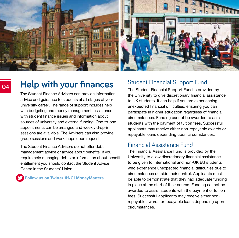

## **Help with your finances**

The Student Finance Advisers can provide information, advice and guidance to students at all stages of your university career. The range of support includes help with budgeting and money management, assistance with student finance issues and information about sources of university and external funding. One-to-one appointments can be arranged and weekly drop-in sessions are available. The Advisers can also provide group sessions and workshops upon request.

The Student Finance Advisers do not offer debt management advice or advice about benefits. If you require help managing debts or information about benefit entitlement you should contact the Student Advice Centre in the Students' Union.

**Follow us on Twitter @NCLMoneyMatters**

#### Student Financial Support Fund

The Student Financial Support Fund is provided by the University to give discretionary financial assistance to UK students. It can help if you are experiencing unexpected financial difficulties, ensuring you can participate in higher education regardless of financial circumstances. Funding cannot be awarded to assist students with the payment of tuition fees. Successful applicants may receive either non-repayable awards or repayable loans depending upon circumstances.

#### Financial Assistance Fund

The Financial Assistance Fund is provided by the University to allow discretionary financial assistance to be given to International and non-UK EU students who experience unexpected financial difficulties due to circumstances outside their control. Applicants must be able to demonstrate that they had adequate funding in place at the start of their course. Funding cannot be awarded to assist students with the payment of tuition fees. Successful applicants may receive either nonrepayable awards or repayable loans depending upon circumstances.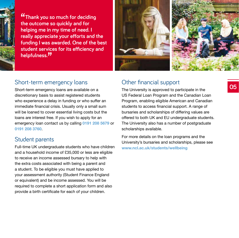

**"Thank you so much for deciding the outcome so quickly and for helping me in my time of need. I really appreciate your efforts and the funding I was awarded. One of the best student services for its efficiency and helpfulness."**



#### Short-term emergency loans

Short-term emergency loans are available on a discretionary basis to assist registered students who experience a delay in funding or who suffer an immediate financial crisis. Usually only a small sum will be loaned to cover essential living costs but the loans are interest free. If you wish to apply for an emergency loan contact us by calling **0191 208 5679** or **0191 208 3760**.

#### Student parents

Full-time UK undergraduate students who have children and a household income of £35,000 or less are eligible to receive an income assessed bursary to help with the extra costs associated with being a parent and a student. To be eligible you must have applied to your assessment authority (Student Finance England or equivalent) and be income assessed. You will be required to complete a short application form and also provide a birth certificate for each of your children.

#### Other financial support

The University is approved to participate in the US Federal Loan Program and the Canadian Loan Program, enabling eligible American and Canadian students to access financial support. A range of bursaries and scholarships of differing values are offered to both UK and EU undergraduate students. The University also has a number of postgraduate scholarships available.

For more details on the loan programs and the University's bursaries and scholarships, please see **www.ncl.ac.uk/students/wellbeing**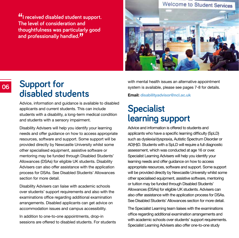**"I received disabled student support. The level of consideration and thoughtfulness was particularly good and professionally handled."**



## **Support for disabled students**

**06**

Advice, information and guidance is available to disabled applicants and current students. This can include students with a disability, a long-term medical condition and students with a sensory impairment.

Disability Advisers will help you identify your learning needs and offer guidance on how to access appropriate resources, software and support. Some support will be provided directly by Newcastle University whilst some other specialised equipment, assistive software or mentoring may be funded through Disabled Students' Allowances (DSAs) for eligible UK students. Disability Advisers can also offer assistance with the application process for DSAs. See Disabled Students' Allowances section for more detail

Disability Advisers can liaise with academic schools over students' support requirements and also with the examinations office regarding additional examination arrangements. Disabled applicants can get advice on accommodation issues and campus accessibility.

In addition to one-to-one appointments, drop-in sessions are offered to disabled students. For students with mental health issues an alternative appointment system is available, please see pages 7-8 for details.

**Email: disabilityadvisor@ncl.ac.uk**

# **Specialist learning support**

Advice and information is offered to students and applicants who have a specific learning difficulty (SpLD) such as dyslexia/dyspraxia, Autistic Spectrum Disorder or AD(H)D. Students with a SpLD will require a full diagnostic assessment, which was conducted at age 16 or over. Specialist Learning Advisers will help you identify your learning needs and offer guidance on how to access appropriate resources, software and support. Some support will be provided directly by Newcastle University whilst some other specialised equipment, assistive software, mentoring or tuition may be funded through Disabled Students' Allowances (DSAs) for eligible UK students. Advisers can also offer assistance with the application process for DSAs. See Disabled Students' Allowances section for more detail.

The Specialist Learning team liaises with the examinations office regarding additional examination arrangements and with academic schools over students' support requirements. Specialist Learning Advisers also offer one-to-one study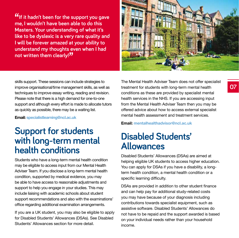**"If it hadn't been for the support you gave me, I wouldn't have been able to do this Masters. Your understanding of what it's like to be dyslexic is a very rare quality and I will be forever amazed at your ability to understand my thoughts even when I had not written them clearly!"**



skills support. These sessions can include strategies to improve organisational/time management skills, as well as techniques to improve essay writing, reading and revision. Please note that there is a high demand for one-to-one support and although every effort is made to allocate tutors as quickly as possible, there may be a waiting list.

**Email: specialistlearning@ncl.ac.uk**

# **Support for students with long-term mental health conditions**

Students who have a long-term mental health condition may be eligible to access input from our Mental Health Adviser Team. If you disclose a long-term mental health condition, supported by medical evidence, you may be able to have access to reasonable adjustments and support to help you engage in your studies. This may include liaising with academic schools about student support recommendations and also with the examinations' office regarding additional examination arrangements.

If you are a UK student, you may also be eligible to apply for Disabled Students' Allowances (DSAs). See Disabled Students' Allowances section for more detail.

The Mental Health Adviser Team does not offer specialist treatment for students with long-term mental health conditions as these are provided by specialist mental health services in the NHS. If you are accessing input from the Mental Health Adviser Team then you may be offered advice about how to access external specialist mental health assessment and treatment services.

**Email: mentalhealthadvisor@ncl.ac.uk**

# **Disabled Students' Allowances**

Disabled Students' Allowances (DSAs) are aimed at helping eligible UK students to access higher education. You can apply for DSAs if you have a disability, a longterm health condition, a mental health condition or a specific learning difficulty.

DSAs are provided in addition to other student finance and can help pay for additional study-related costs you may have because of your diagnosis including contributions towards specialist equipment, such as assistive software. Disabled Students' Allowances do not have to be repaid and the support awarded is based on your individual needs rather than your household income.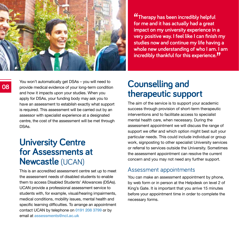

**"Therapy has been incredibly helpful for me and it has actually had a great impact on my university experience in a very positive way. I feel like I can finish my studies now and continue my life having a whole new understanding of who I am. I am incredibly thankful for this experience."**

You won't automatically get DSAs – you will need to provide medical evidence of your long-term condition and how it impacts upon your studies. When you apply for DSAs, your funding body may ask you to have an assessment to establish exactly what support is required. This assessment will be carried out by an assessor with specialist experience at a designated centre, the cost of the assessment will be met through DSAs.

## **University Centre for Assessments at Newcastle** (UCAN)

This is an accredited assessment centre set up to meet the assessment needs of disabled students to enable them to access Disabled Students' Allowances (DSAs). UCAN provide a professional assessment service to students with, for example, visual/hearing impairments, medical conditions, mobility issues, mental health and specific learning difficulties. To arrange an appointment contact UCAN by telephone on **0191 208 3799** or by email at **assessments@ncl.ac.uk**

## **Counselling and therapeutic support**

The aim of the service is to support your academic success through provision of short-term therapeutic interventions and to facilitate access to specialist mental health care, when necessary. During the assessment appointment we will discuss the range of support we offer and which option might best suit your particular needs. This could include individual or group work, signposting to other specialist University services or referral to services outside the University. Sometimes the assessment appointment can resolve the current concern and you may not need any further support.

#### Assessment appointments

You can make an assessment appointment by phone, by web form or in person at the Helpdesk on level 2 of King's Gate. It is important that you arrive 15 minutes before your appointment time in order to complete the necessary forms.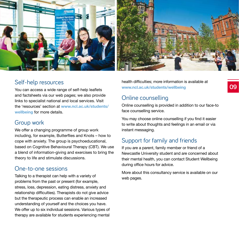

#### Self-help resources

You can access a wide range of self-help leaflets and factsheets via our web pages; we also provide links to specialist national and local services. Visit the 'resources' section at **www.ncl.ac.uk/students/ wellbeing** for more details.

#### Group work

We offer a changing programme of group work including, for example, Butterflies and Knots – how to cope with anxiety. The group is psychoeducational, based on Cognitive Behavioural Therapy (CBT). We use a blend of information-giving and exercises to bring the theory to life and stimulate discussions.

#### One-to-one sessions

Talking to a therapist can help with a variety of problems from the past or present (for example, stress, loss, depression, eating distress, anxiety and relationship difficulties). Therapists do not give advice but the therapeutic process can enable an increased understanding of yourself and the choices you have. We offer up to six individual sessions. Various types of therapy are available for students experiencing mental

health difficulties; more information is available at **www.ncl.ac.uk/students/wellbeing**

#### Online counselling

Online counselling is provided in addition to our face-to face counselling service.

You may choose online counselling if you find it easier to write about thoughts and feelings in an email or via instant messaging.

#### Support for family and friends

If you are a parent, family member or friend of a Newcastle University student and are concerned about their mental health, you can contact Student Wellbeing during office hours for advice.

More about this consultancy service is available on our web pages.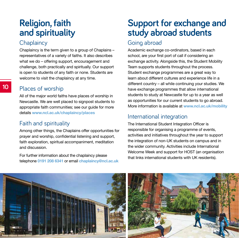# **Religion, faith and spirituality**

#### **Chaplaincy**

Chaplaincy is the term given to a group of Chaplains – representatives of a variety of faiths. It also describes what we do – offering support, encouragement and challenge, both practically and spiritually. Our support is open to students of any faith or none. Students are welcome to visit the chaplaincy at any time.

#### Places of worship

All of the major world faiths have places of worship in Newcastle. We are well placed to signpost students to appropriate faith communities; see our guide for more details **www.ncl.ac.uk/chaplaincy/places**

#### Faith and spirituality

Among other things, the Chaplains offer opportunities for prayer and worship, confidential listening and support, faith exploration, spiritual accompaniment, meditation and discussion.

For further information about the chaplaincy please telephone **0191 208 6341** or email **chaplaincy@ncl.ac.uk**

# **Support for exchange and study abroad students**

#### Going abroad

Academic exchange co-ordinators, based in each school, are your first port of call if considering an exchange activity. Alongside this, the Student Mobility Team supports students throughout the process. Student exchange programmes are a great way to learn about different cultures and experience life in a different country – all while continuing your studies. We have exchange programmes that allow international students to study at Newcastle for up to a year as well as opportunities for our current students to go abroad. More information is available at **www.ncl.ac.uk/mobility**

#### International integration

The International Student Integration Officer is responsible for organising a programme of events, activities and initiatives throughout the year to support the integration of non-UK students on campus and in the wider community. Activities include International Welcome Week and support for HOST (an organisation that links international students with UK residents).

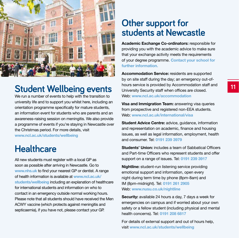

# **Student Wellbeing events**

We run a number of events to help with the transition to university life and to support you whilst here, including an orientation programme specifically for mature students, an information event for students who are parents and an awareness-raising session on meningitis. We also provide a programme of events if you're staying in Newcastle over the Christmas period. For more details, visit **www.ncl.ac.uk/students/wellbeing**

# **Healthcare**

All new students must register with a local GP as soon as possible after arriving in Newcastle. Go to **www.nhs.uk** to find your nearest GP or dentist. A range of health information is available at **www.ncl.ac.uk/ students/wellbeing** including an explanation of healthcare for international students and information on who to contact in an emergency outside normal working hours. Please note that all students should have received the Men ACWY vaccine (which protects against meningitis and septicaemia), if you have not, please contact your GP.

## **Other support for students at Newcastle**

**Academic Exchange Co-ordinators:** responsible for providing you with the academic advice to make sure that your exchange activity meets the requirements of your degree programme. **Contact your school for further information.**

**Accommodation Service:** residents are supported by on site staff during the day; an emergency out-ofhours service is provided by Accommodation staff and University Security staff when offices are closed. Web: **www.ncl.ac.uk/accommodation**

**Visa and Immigration Team:** answering visa queries from prospective and registered non-EEA students. Web: **www.ncl.ac.uk/international/visa**

**Student Advice Centre:** advice, guidance, information and representation on academic, finance and housing issues, as well as legal information, employment, health and consumer. Tel: **0191 239 3979**

**Students' Union:** includes a team of Sabbatical Officers and Part-time Officers who represent students and offer support on a range of issues. Tel: **0191 239 3917**

**Nightline:** student-run listening service providing emotional support and information, open every night during term time by phone (8pm-8am) and IM (8pm-midnight). Tel: **0191 261 2905** Web: **www.nusu.co.uk/nightline** 

**Security:** available 24 hours a day, 7 days a week for emergencies on campus and if worried about your own safety or a fellow student (including physical and mental health concerns). Tel: **0191 208 6817**

For details of external support and out of hours help, visit **www.ncl.ac.uk/students/wellbeing**